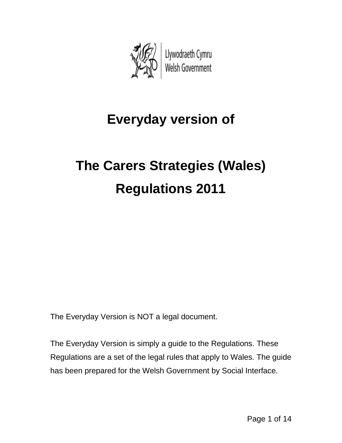

## **Everyday version of**

# **The Carers Strategies (Wales) Regulations 2011**

The Everyday Version is NOT a legal document.

The Everyday Version is simply a guide to the Regulations. These Regulations are a set of the legal rules that apply to Wales. The guide has been prepared for the Welsh Government by Social Interface.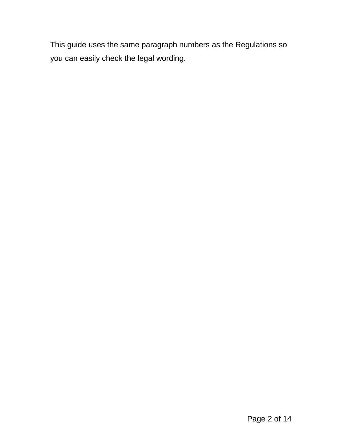This guide uses the same paragraph numbers as the Regulations so you can easily check the legal wording.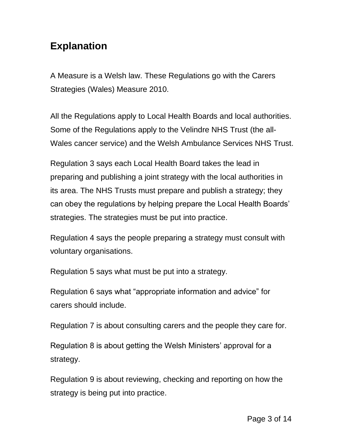## **Explanation**

A Measure is a Welsh law. These Regulations go with the Carers Strategies (Wales) Measure 2010.

All the Regulations apply to Local Health Boards and local authorities. Some of the Regulations apply to the Velindre NHS Trust (the all-Wales cancer service) and the Welsh Ambulance Services NHS Trust.

Regulation 3 says each Local Health Board takes the lead in preparing and publishing a joint strategy with the local authorities in its area. The NHS Trusts must prepare and publish a strategy; they can obey the regulations by helping prepare the Local Health Boards' strategies. The strategies must be put into practice.

Regulation 4 says the people preparing a strategy must consult with voluntary organisations.

Regulation 5 says what must be put into a strategy.

Regulation 6 says what "appropriate information and advice" for carers should include.

Regulation 7 is about consulting carers and the people they care for.

Regulation 8 is about getting the Welsh Ministers' approval for a strategy.

Regulation 9 is about reviewing, checking and reporting on how the strategy is being put into practice.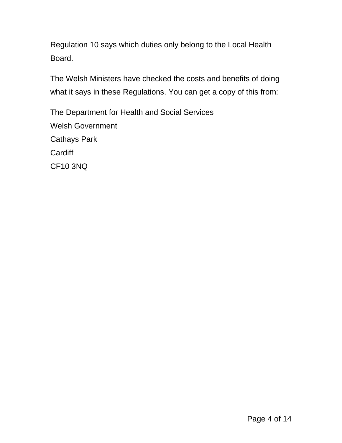Regulation 10 says which duties only belong to the Local Health Board.

The Welsh Ministers have checked the costs and benefits of doing what it says in these Regulations. You can get a copy of this from:

The Department for Health and Social Services Welsh Government Cathays Park **Cardiff** CF10 3NQ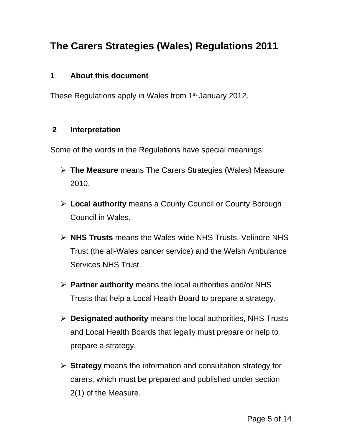## **The Carers Strategies (Wales) Regulations 2011**

#### **1 About this document**

These Regulations apply in Wales from 1<sup>st</sup> January 2012.

#### **2 Interpretation**

Some of the words in the Regulations have special meanings:

- **The Measure** means The Carers Strategies (Wales) Measure 2010.
- **Local authority** means a County Council or County Borough Council in Wales.
- **NHS Trusts** means the Wales-wide NHS Trusts, Velindre NHS Trust (the all-Wales cancer service) and the Welsh Ambulance Services NHS Trust.
- **Partner authority** means the local authorities and/or NHS Trusts that help a Local Health Board to prepare a strategy.
- **Designated authority** means the local authorities, NHS Trusts and Local Health Boards that legally must prepare or help to prepare a strategy.
- **Strategy** means the information and consultation strategy for carers, which must be prepared and published under section 2(1) of the Measure.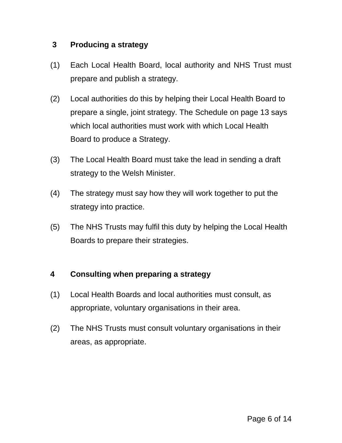#### **3 Producing a strategy**

- (1) Each Local Health Board, local authority and NHS Trust must prepare and publish a strategy.
- (2) Local authorities do this by helping their Local Health Board to prepare a single, joint strategy. The Schedule on page 13 says which local authorities must work with which Local Health Board to produce a Strategy.
- (3) The Local Health Board must take the lead in sending a draft strategy to the Welsh Minister.
- (4) The strategy must say how they will work together to put the strategy into practice.
- (5) The NHS Trusts may fulfil this duty by helping the Local Health Boards to prepare their strategies.

#### **4 Consulting when preparing a strategy**

- (1) Local Health Boards and local authorities must consult, as appropriate, voluntary organisations in their area.
- (2) The NHS Trusts must consult voluntary organisations in their areas, as appropriate.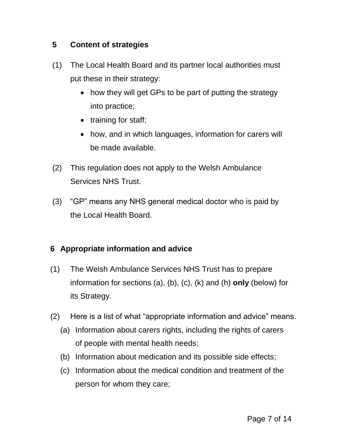#### **5 Content of strategies**

- (1) The Local Health Board and its partner local authorities must put these in their strategy:
	- how they will get GPs to be part of putting the strategy into practice;
	- training for staff;
	- how, and in which languages, information for carers will be made available.
- (2) This regulation does not apply to the Welsh Ambulance Services NHS Trust.
- (3) "GP" means any NHS general medical doctor who is paid by the Local Health Board.

#### **6 Appropriate information and advice**

- (1) The Welsh Ambulance Services NHS Trust has to prepare information for sections (a), (b), (c), (k) and (h) **only** (below) for its Strategy.
- (2) Here is a list of what "appropriate information and advice" means.
	- (a) Information about carers rights, including the rights of carers of people with mental health needs;
	- (b) Information about medication and its possible side effects;
	- (c) Information about the medical condition and treatment of the person for whom they care;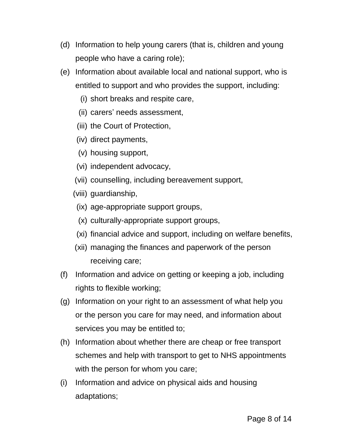- (d) Information to help young carers (that is, children and young people who have a caring role);
- (e) Information about available local and national support, who is entitled to support and who provides the support, including:
	- (i) short breaks and respite care,
	- (ii) carers' needs assessment,
	- (iii) the Court of Protection,
	- (iv) direct payments,
	- (v) housing support,
	- (vi) independent advocacy,
	- (vii) counselling, including bereavement support,
	- (viii) guardianship,
	- (ix) age-appropriate support groups,
	- (x) culturally-appropriate support groups,
	- (xi) financial advice and support, including on welfare benefits,
	- (xii) managing the finances and paperwork of the person receiving care;
- (f) Information and advice on getting or keeping a job, including rights to flexible working;
- (g) Information on your right to an assessment of what help you or the person you care for may need, and information about services you may be entitled to;
- (h) Information about whether there are cheap or free transport schemes and help with transport to get to NHS appointments with the person for whom you care;
- (i) Information and advice on physical aids and housing adaptations;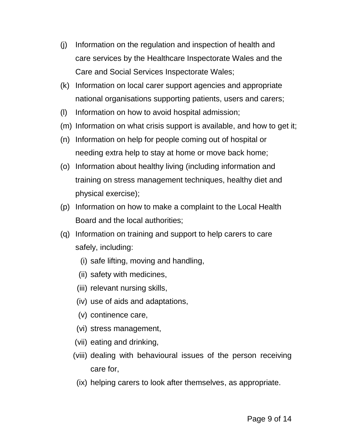- (j) Information on the regulation and inspection of health and care services by the Healthcare Inspectorate Wales and the Care and Social Services Inspectorate Wales;
- (k) Information on local carer support agencies and appropriate national organisations supporting patients, users and carers;
- (l) Information on how to avoid hospital admission;
- (m) Information on what crisis support is available, and how to get it;
- (n) Information on help for people coming out of hospital or needing extra help to stay at home or move back home;
- (o) Information about healthy living (including information and training on stress management techniques, healthy diet and physical exercise);
- (p) Information on how to make a complaint to the Local Health Board and the local authorities;
- (q) Information on training and support to help carers to care safely, including:
	- (i) safe lifting, moving and handling,
	- (ii) safety with medicines,
	- (iii) relevant nursing skills,
	- (iv) use of aids and adaptations,
	- (v) continence care,
	- (vi) stress management,
	- (vii) eating and drinking,
	- (viii) dealing with behavioural issues of the person receiving care for,
	- (ix) helping carers to look after themselves, as appropriate.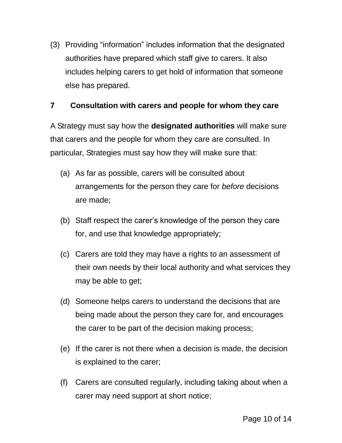(3) Providing "information" includes information that the designated authorities have prepared which staff give to carers. It also includes helping carers to get hold of information that someone else has prepared.

#### **7 Consultation with carers and people for whom they care**

A Strategy must say how the **designated authorities** will make sure that carers and the people for whom they care are consulted. In particular, Strategies must say how they will make sure that:

- (a) As far as possible, carers will be consulted about arrangements for the person they care for *before* decisions are made;
- (b) Staff respect the carer's knowledge of the person they care for, and use that knowledge appropriately;
- (c) Carers are told they may have a rights to an assessment of their own needs by their local authority and what services they may be able to get;
- (d) Someone helps carers to understand the decisions that are being made about the person they care for, and encourages the carer to be part of the decision making process;
- (e) If the carer is not there when a decision is made, the decision is explained to the carer;
- (f) Carers are consulted regularly, including taking about when a carer may need support at short notice;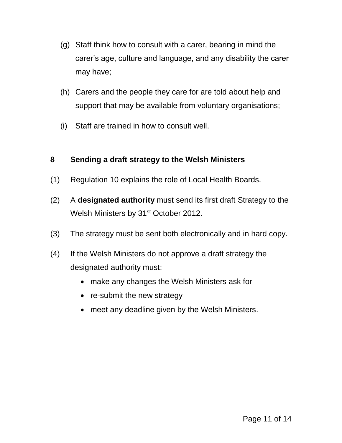- (g) Staff think how to consult with a carer, bearing in mind the carer's age, culture and language, and any disability the carer may have;
- (h) Carers and the people they care for are told about help and support that may be available from voluntary organisations;
- (i) Staff are trained in how to consult well.

#### **8 Sending a draft strategy to the Welsh Ministers**

- (1) Regulation 10 explains the role of Local Health Boards.
- (2) A **designated authority** must send its first draft Strategy to the Welsh Ministers by 31<sup>st</sup> October 2012.
- (3) The strategy must be sent both electronically and in hard copy.
- (4) If the Welsh Ministers do not approve a draft strategy the designated authority must:
	- make any changes the Welsh Ministers ask for
	- re-submit the new strategy
	- meet any deadline given by the Welsh Ministers.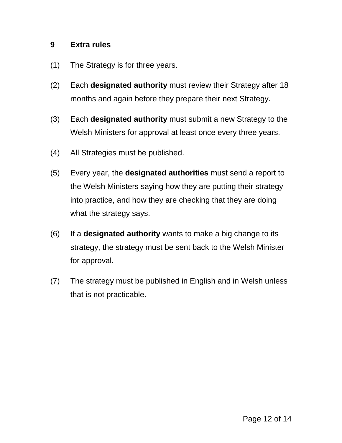#### **9 Extra rules**

- (1) The Strategy is for three years.
- (2) Each **designated authority** must review their Strategy after 18 months and again before they prepare their next Strategy.
- (3) Each **designated authority** must submit a new Strategy to the Welsh Ministers for approval at least once every three years.
- (4) All Strategies must be published.
- (5) Every year, the **designated authorities** must send a report to the Welsh Ministers saying how they are putting their strategy into practice, and how they are checking that they are doing what the strategy says.
- (6) If a **designated authority** wants to make a big change to its strategy, the strategy must be sent back to the Welsh Minister for approval.
- (7) The strategy must be published in English and in Welsh unless that is not practicable.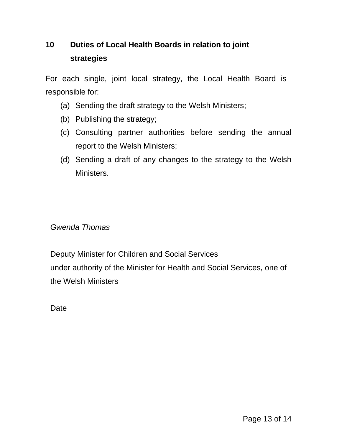### **10 Duties of Local Health Boards in relation to joint strategies**

For each single, joint local strategy, the Local Health Board is responsible for:

- (a) Sending the draft strategy to the Welsh Ministers;
- (b) Publishing the strategy;
- (c) Consulting partner authorities before sending the annual report to the Welsh Ministers;
- (d) Sending a draft of any changes to the strategy to the Welsh Ministers.

#### *Gwenda Thomas*

Deputy Minister for Children and Social Services under authority of the Minister for Health and Social Services, one of the Welsh Ministers

**Date**